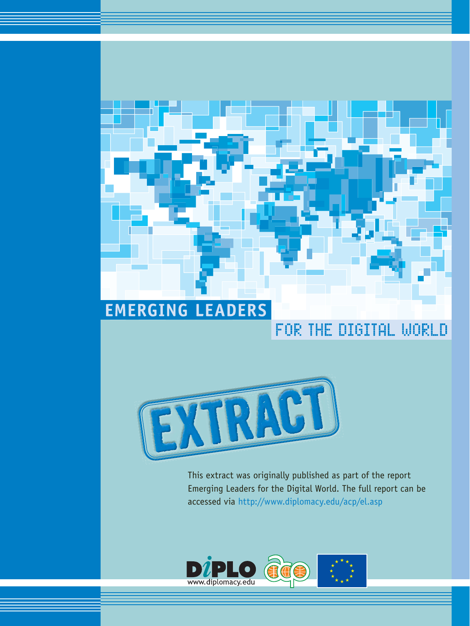# **EMERGING LEADERS**

## FOR THE DIGITAL WORLD



This extract was originally published as part of the report Emerging Leaders for the Digital World. The full report can be accessed via http://www.diplomacy.edu/acp/el.asp

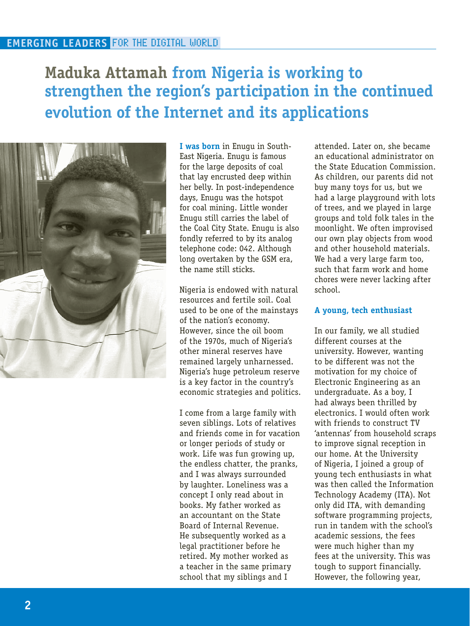### **Maduka Attamah from Nigeria is working to strengthen the region's participation in the continued evolution of the Internet and its applications**



**I was born** in Enugu in South-East Nigeria. Enugu is famous for the large deposits of coal that lay encrusted deep within her belly. In post-independence days, Enugu was the hotspot for coal mining. Little wonder Enugu still carries the label of the Coal City State. Enugu is also fondly referred to by its analog telephone code: 042. Although long overtaken by the GSM era, the name still sticks.

Nigeria is endowed with natural resources and fertile soil. Coal used to be one of the mainstays of the nation's economy. However, since the oil boom of the 1970s, much of Nigeria's other mineral reserves have remained largely unharnessed. Nigeria's huge petroleum reserve is a key factor in the country's economic strategies and politics.

I come from a large family with seven siblings. Lots of relatives and friends come in for vacation or longer periods of study or work. Life was fun growing up, the endless chatter, the pranks, and I was always surrounded by laughter. Loneliness was a concept I only read about in books. My father worked as an accountant on the State Board of Internal Revenue. He subsequently worked as a legal practitioner before he retired. My mother worked as a teacher in the same primary school that my siblings and I

attended. Later on, she became an educational administrator on the State Education Commission. As children, our parents did not buy many toys for us, but we had a large playground with lots of trees, and we played in large groups and told folk tales in the moonlight. We often improvised our own play objects from wood and other household materials. We had a very large farm too. such that farm work and home chores were never lacking after school.

### **A young, tech enthusiast**

In our family, we all studied different courses at the university. However, wanting to be different was not the motivation for my choice of Electronic Engineering as an undergraduate. As a boy, I had always been thrilled by electronics. I would often work with friends to construct TV 'antennas' from household scraps to improve signal reception in our home. At the University of Nigeria, I joined a group of young tech enthusiasts in what was then called the Information Technology Academy (ITA). Not only did ITA, with demanding software programming projects, run in tandem with the school's academic sessions, the fees were much higher than my fees at the university. This was tough to support financially. However, the following year,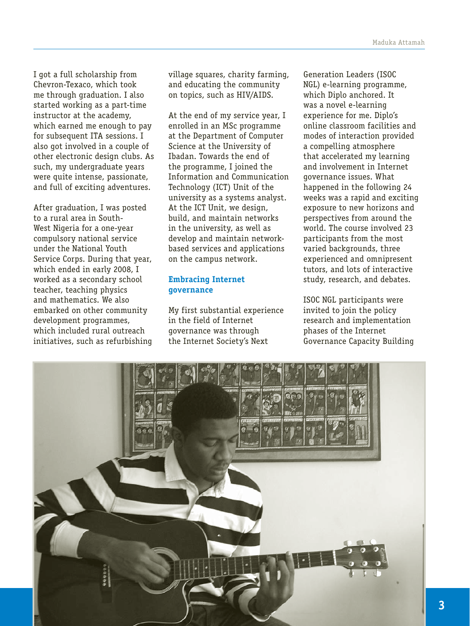I got a full scholarship from Chevron-Texaco, which took me through graduation. I also started working as a part-time instructor at the academy, which earned me enough to pay for subsequent ITA sessions. I also got involved in a couple of other electronic design clubs. As such, my undergraduate years were quite intense, passionate, and full of exciting adventures.

After graduation, I was posted to a rural area in South-West Nigeria for a one-year compulsory national service under the National Youth Service Corps. During that year, which ended in early 2008, I worked as a secondary school teacher, teaching physics and mathematics. We also embarked on other community development programmes, which included rural outreach initiatives, such as refurbishing village squares, charity farming, and educating the community on topics, such as HIV/AIDS.

At the end of my service year, I enrolled in an MSc programme at the Department of Computer Science at the University of Ibadan. Towards the end of the programme, I joined the Information and Communication Technology (ICT) Unit of the university as a systems analyst. At the ICT Unit, we design, build, and maintain networks in the university, as well as develop and maintain networkbased services and applications on the campus network.

### **Embracing Internet governance**

My first substantial experience in the field of Internet governance was through the Internet Society's Next

Generation Leaders (ISOC NGL) e-learning programme, which Diplo anchored. It was a novel e-learning experience for me. Diplo's online classroom facilities and modes of interaction provided a compelling atmosphere that accelerated my learning and involvement in Internet governance issues. What happened in the following 24 weeks was a rapid and exciting exposure to new horizons and perspectives from around the world. The course involved 23 participants from the most varied backgrounds, three experienced and omnipresent tutors, and lots of interactive study, research, and debates.

ISOC NGL participants were invited to join the policy research and implementation phases of the Internet Governance Capacity Building

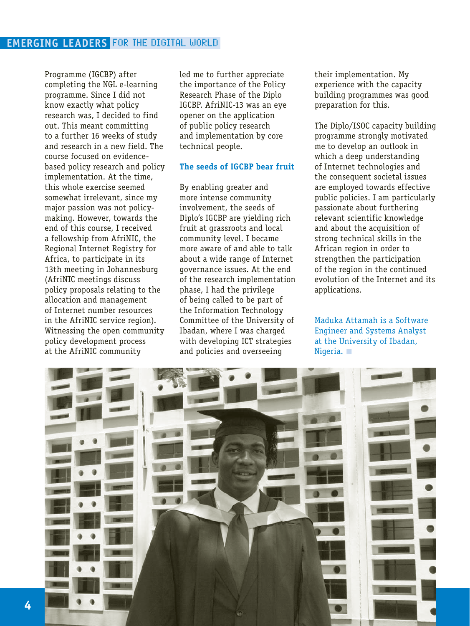Programme (IGCBP) after completing the NGL e-learning programme. Since I did not know exactly what policy research was, I decided to find out. This meant committing to a further 16 weeks of study and research in a new field. The course focused on evidencebased policy research and policy implementation. At the time, this whole exercise seemed somewhat irrelevant, since my major passion was not policymaking. However, towards the end of this course, I received a fellowship from AfriNIC, the Regional Internet Registry for Africa, to participate in its 13th meeting in Johannesburg (AfriNIC meetings discuss policy proposals relating to the allocation and management of Internet number resources in the AfriNIC service region). Witnessing the open community policy development process at the AfriNIC community

led me to further appreciate the importance of the Policy Research Phase of the Diplo IGCBP. AfriNIC-13 was an eye opener on the application of public policy research and implementation by core technical people.

#### **The seeds of IGCBP bear fruit**

By enabling greater and more intense community involvement, the seeds of Diplo's IGCBP are yielding rich fruit at grassroots and local community level. I became more aware of and able to talk about a wide range of Internet governance issues. At the end of the research implementation phase, I had the privilege of being called to be part of the Information Technology Committee of the University of Ibadan, where I was charged with developing ICT strategies and policies and overseeing

their implementation. My experience with the capacity building programmes was good preparation for this.

The Diplo/ISOC capacity building programme strongly motivated me to develop an outlook in which a deep understanding of Internet technologies and the consequent societal issues are employed towards effective public policies. I am particularly passionate about furthering relevant scientific knowledge and about the acquisition of strong technical skills in the African region in order to strengthen the participation of the region in the continued evolution of the Internet and its applications.

Maduka Attamah is a Software Engineer and Systems Analyst at the University of Ibadan, Nigeria.